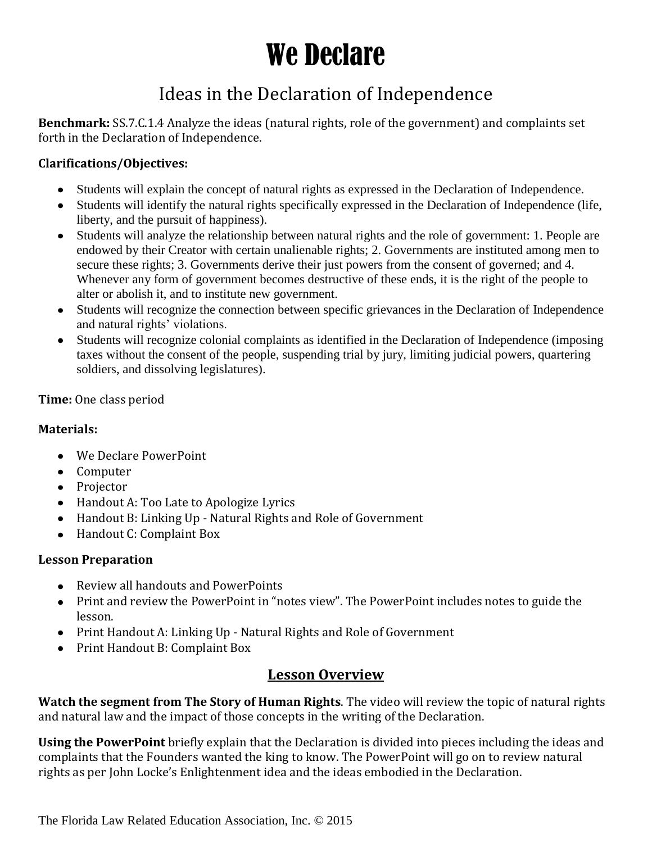# We Declare

# Ideas in the Declaration of Independence

**Benchmark:** SS.7.C.1.4 Analyze the ideas (natural rights, role of the government) and complaints set forth in the Declaration of Independence.

### **Clarifications/Objectives:**

- Students will explain the concept of natural rights as expressed in the Declaration of Independence.
- Students will identify the natural rights specifically expressed in the Declaration of Independence (life, liberty, and the pursuit of happiness).
- Students will analyze the relationship between natural rights and the role of government: 1. People are endowed by their Creator with certain unalienable rights; 2. Governments are instituted among men to secure these rights; 3. Governments derive their just powers from the consent of governed; and 4. Whenever any form of government becomes destructive of these ends, it is the right of the people to alter or abolish it, and to institute new government.
- Students will recognize the connection between specific grievances in the Declaration of Independence and natural rights' violations.
- Students will recognize colonial complaints as identified in the Declaration of Independence (imposing taxes without the consent of the people, suspending trial by jury, limiting judicial powers, quartering soldiers, and dissolving legislatures).

**Time:** One class period

#### **Materials:**

- We Declare PowerPoint
- Computer
- Projector
- Handout A: Too Late to Apologize Lyrics
- Handout B: Linking Up Natural Rights and Role of Government
- Handout C: Complaint Box

### **Lesson Preparation**

- Review all handouts and PowerPoints
- Print and review the PowerPoint in "notes view". The PowerPoint includes notes to guide the lesson.
- Print Handout A: Linking Up Natural Rights and Role of Government
- Print Handout B: Complaint Box

### **Lesson Overview**

**Watch the segment from The Story of Human Rights**. The video will review the topic of natural rights and natural law and the impact of those concepts in the writing of the Declaration.

**Using the PowerPoint** briefly explain that the Declaration is divided into pieces including the ideas and complaints that the Founders wanted the king to know. The PowerPoint will go on to review natural rights as per John Locke's Enlightenment idea and the ideas embodied in the Declaration.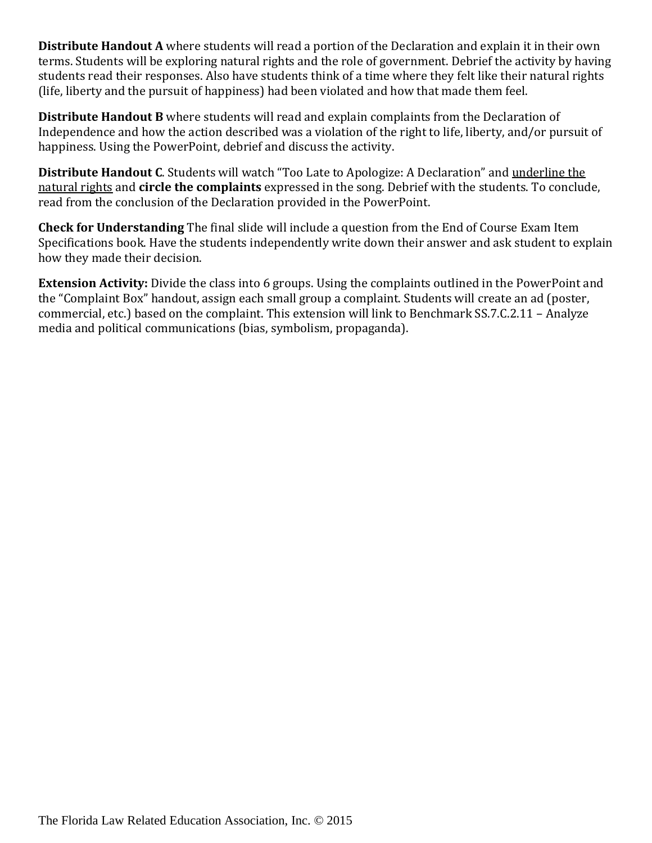**Distribute Handout A** where students will read a portion of the Declaration and explain it in their own terms. Students will be exploring natural rights and the role of government. Debrief the activity by having students read their responses. Also have students think of a time where they felt like their natural rights (life, liberty and the pursuit of happiness) had been violated and how that made them feel.

**Distribute Handout B** where students will read and explain complaints from the Declaration of Independence and how the action described was a violation of the right to life, liberty, and/or pursuit of happiness. Using the PowerPoint, debrief and discuss the activity.

**Distribute Handout C**. Students will watch "Too Late to Apologize: A Declaration" and underline the natural rights and **circle the complaints** expressed in the song. Debrief with the students. To conclude, read from the conclusion of the Declaration provided in the PowerPoint.

**Check for Understanding** The final slide will include a question from the End of Course Exam Item Specifications book. Have the students independently write down their answer and ask student to explain how they made their decision.

**Extension Activity:** Divide the class into 6 groups. Using the complaints outlined in the PowerPoint and the "Complaint Box" handout, assign each small group a complaint. Students will create an ad (poster, commercial, etc.) based on the complaint. This extension will link to Benchmark SS.7.C.2.11 – Analyze media and political communications (bias, symbolism, propaganda).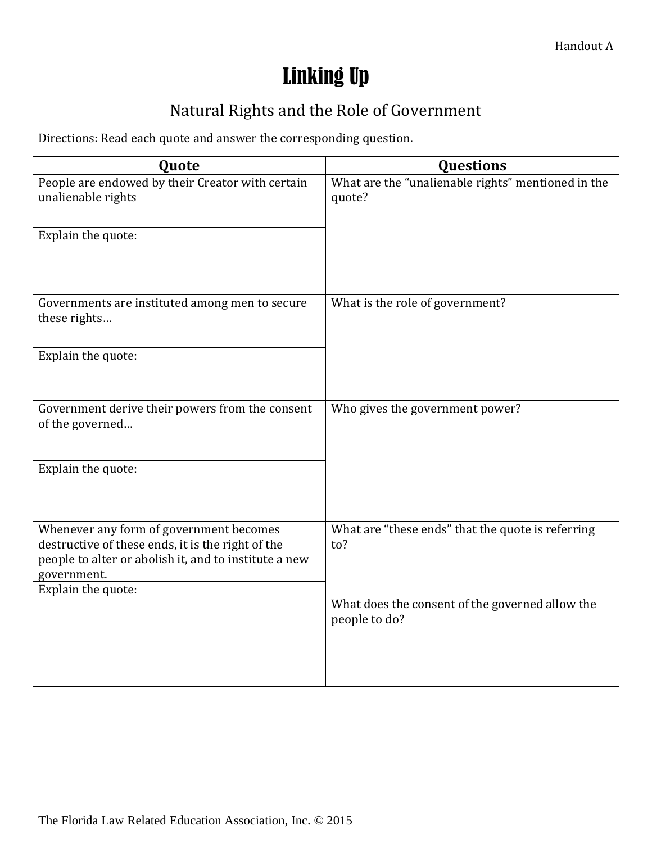# Linking Up

## Natural Rights and the Role of Government

Directions: Read each quote and answer the corresponding question.

| Quote                                                                                                                                                                | <b>Questions</b>                                                 |
|----------------------------------------------------------------------------------------------------------------------------------------------------------------------|------------------------------------------------------------------|
| People are endowed by their Creator with certain<br>unalienable rights                                                                                               | What are the "unalienable rights" mentioned in the<br>quote?     |
| Explain the quote:                                                                                                                                                   |                                                                  |
| Governments are instituted among men to secure<br>these rights                                                                                                       | What is the role of government?                                  |
| Explain the quote:                                                                                                                                                   |                                                                  |
| Government derive their powers from the consent<br>of the governed                                                                                                   | Who gives the government power?                                  |
| Explain the quote:                                                                                                                                                   |                                                                  |
| Whenever any form of government becomes<br>destructive of these ends, it is the right of the<br>people to alter or abolish it, and to institute a new<br>government. | What are "these ends" that the quote is referring<br>to?         |
| Explain the quote:                                                                                                                                                   | What does the consent of the governed allow the<br>people to do? |
|                                                                                                                                                                      |                                                                  |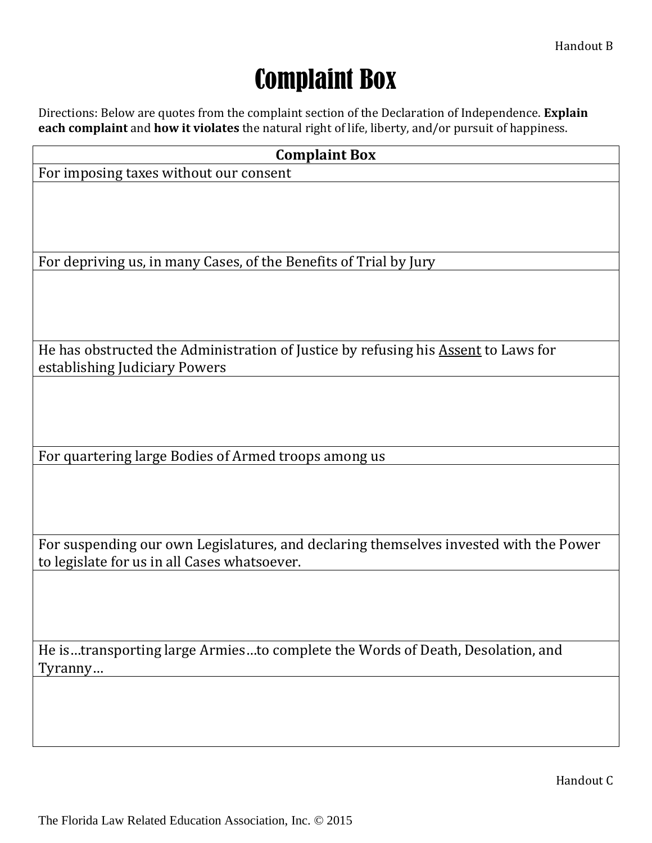# Complaint Box

Directions: Below are quotes from the complaint section of the Declaration of Independence. **Explain each complaint** and **how it violates** the natural right of life, liberty, and/or pursuit of happiness.

| <b>Complaint Box</b>                                                                                                                  |  |
|---------------------------------------------------------------------------------------------------------------------------------------|--|
| For imposing taxes without our consent                                                                                                |  |
|                                                                                                                                       |  |
| For depriving us, in many Cases, of the Benefits of Trial by Jury                                                                     |  |
|                                                                                                                                       |  |
| He has obstructed the Administration of Justice by refusing his Assent to Laws for<br>establishing Judiciary Powers                   |  |
|                                                                                                                                       |  |
| For quartering large Bodies of Armed troops among us                                                                                  |  |
|                                                                                                                                       |  |
| For suspending our own Legislatures, and declaring themselves invested with the Power<br>to legislate for us in all Cases whatsoever. |  |
|                                                                                                                                       |  |
| He istransporting large Armiesto complete the Words of Death, Desolation, and<br>Tyranny                                              |  |
|                                                                                                                                       |  |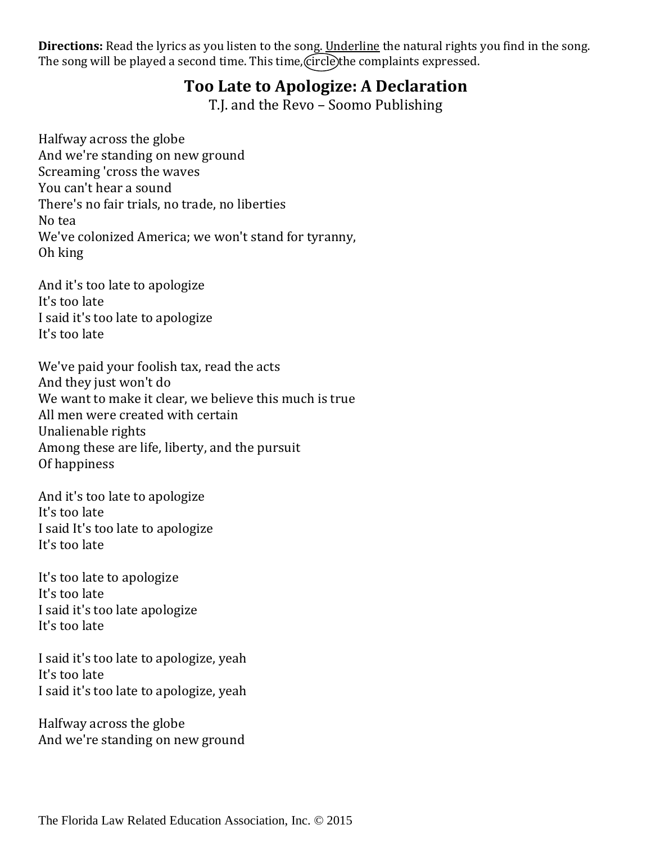**Directions:** Read the lyrics as you listen to the song. Underline the natural rights you find in the song. The song will be played a second time. This time, circle) the complaints expressed.

### **Too Late to Apologize: A Declaration**

T.J. and the Revo – Soomo Publishing

Halfway across the globe And we're standing on new ground Screaming 'cross the waves You can't hear a sound There's no fair trials, no trade, no liberties No tea We've colonized America; we won't stand for tyranny, Oh king

And it's too late to apologize It's too late I said it's too late to apologize It's too late

We've paid your foolish tax, read the acts And they just won't do We want to make it clear, we believe this much is true All men were created with certain Unalienable rights Among these are life, liberty, and the pursuit Of happiness

And it's too late to apologize It's too late I said It's too late to apologize It's too late

It's too late to apologize It's too late I said it's too late apologize It's too late

I said it's too late to apologize, yeah It's too late I said it's too late to apologize, yeah

Halfway across the globe And we're standing on new ground